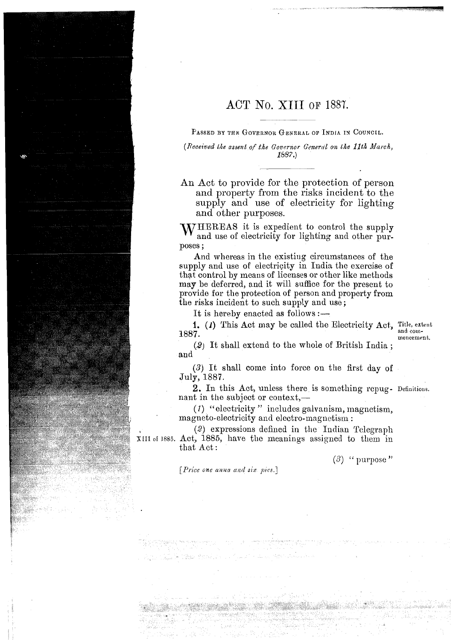## ACT No. XIII OF 1887.

PASSED BY THE GOVERNOR GENERAL OF INDIA IN COUNCIL.

*(Received the assent of the Governor General on the 11th March, 1687.)* 

An Act to provide for the protection of person and property from the risks incident to the supply and use of electricity for lighting and other purposes.

WHEREAS it is expedient to control the supply and use of electricity for lighting and other purposes ;

And whereas in the existing circumstances of the supply and use of electricity in India the exercise of that control by means of licenses or other like methods may be deferred, and it will suffice for the present to provide for the protection of person and property from the risks incident to such supply and use ;

It is hereby enacted as follows  $:$   $-$ 

1. (*I*) This Act may be called the Electricity Act, Title, extent **1887**. 1887. **and complete the complete of the complete of the complete of the complete of the complete of the complete of the complete of the contract of the contract of the contract of the contract of the contract of the contra** 

mencement.

(2) It shall extend to the whole of British India ; and

(3) It shall come into force on the first day of July, 1887.

2. In this Act, unless there is something repug- Definitions. nant in the subject or context,—

(1) "electricity" includes galvanism, magnetism, magneto-electricity and electro-magnetism :

(2) expressions defined in tlie Indian Telegraph srrr or 1885. Act, 1885, hare tlie meanings assisned to them in that Act :

 $(3)$  " purpose"

*j Price one anna and six pies.]*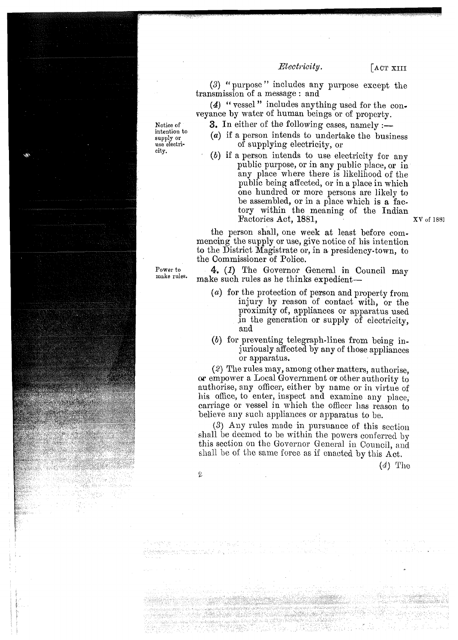## $Electivity.$

 $\sqrt{\text{ACT XIII}}$ 

(3) " purpose" includes any purpose except the transmission of a message : and

(4) " vessel" includes anything used for the conveyance by water of human beings or of property.

Notice of **3.** In either of the following cases, namely :-

- meanton to  $(a)$  if a person intends to undertake the business use electri-<br>use electricity of supplying electricity, or  $(b)$  if a parameter is true of supplying  $(c)$ .
	- (b) if a person intends to use electricity for any public purpose, or in any public place, or in any place where there is likelihood of the public being affected, or in a place in which one hundred or more persons are likely to be assembled, or in a place which is a factory within the meaning of the Indian Factories Act, 1881, XV of 1881

the person shall, one week at least before commencing the supply or use, give notice of his intention to the District Magistrate or, in a presidency-town, to the Commissioner of Police.

Power to 4. (1) The Governor General in Council may make rules. make such rules as he thinks expedient-

- (a) for the protection of person and property from injury by reason of contact with, or the proximity of, appliances or apparatus used in the generation or supply of electricity, and
- *(b)* for preventing telegraph-lines from being inj uriously affected by any of those appliances or apparatus.

(2) The rules may, among other matters, authorise, or empower a Local Government or other authority to authorise, any officer, either by name or in virtue of his office, to enter, inspect and examine any place, carriage or vessel in which the officer has reason to believe any such appliances or apparatus to be.

(3) Any rules made in pursuance of this section shall be deemed to be within the powers conferred by this section on the Governor General in Council, and shall be of the same force as if enacted by this Act.

*(4)* 'l'ho

intention to

 $\frac{C}{\epsilon}$